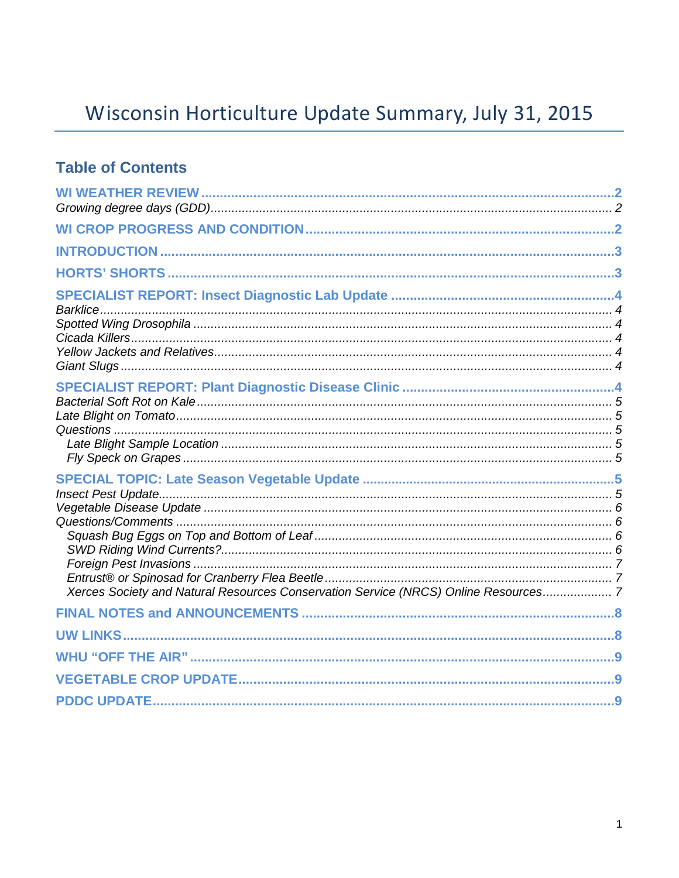# Wisconsin Horticulture Update Summary, July 31, 2015

### **Table of Contents**

| Xerces Society and Natural Resources Conservation Service (NRCS) Online Resources 7 |  |
|-------------------------------------------------------------------------------------|--|
|                                                                                     |  |
|                                                                                     |  |
|                                                                                     |  |
|                                                                                     |  |
|                                                                                     |  |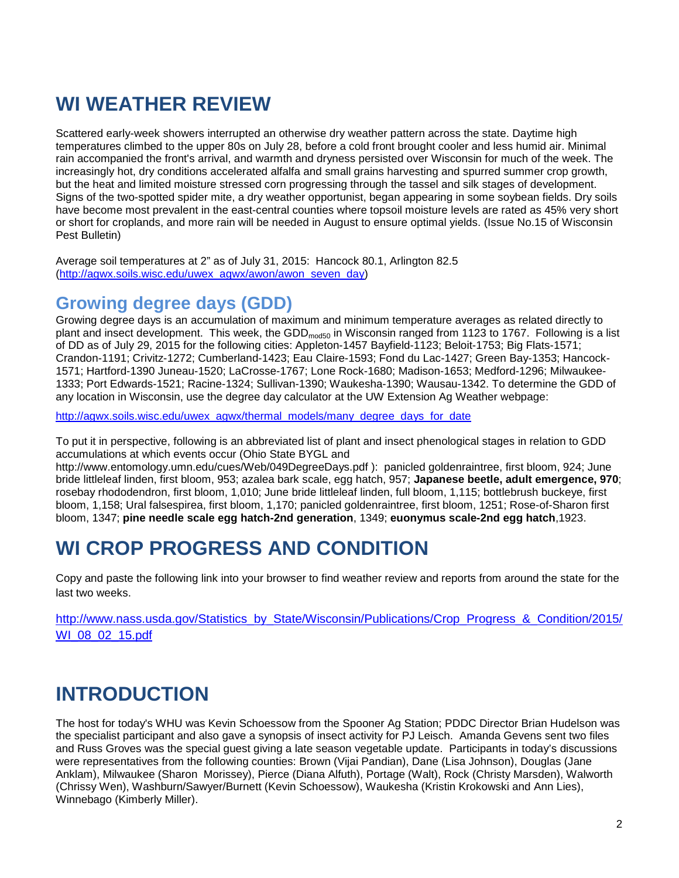## **WI WEATHER REVIEW**

Scattered early-week showers interrupted an otherwise dry weather pattern across the state. Daytime high temperatures climbed to the upper 80s on July 28, before a cold front brought cooler and less humid air. Minimal rain accompanied the front's arrival, and warmth and dryness persisted over Wisconsin for much of the week. The increasingly hot, dry conditions accelerated alfalfa and small grains harvesting and spurred summer crop growth, but the heat and limited moisture stressed corn progressing through the tassel and silk stages of development. Signs of the two-spotted spider mite, a dry weather opportunist, began appearing in some soybean fields. Dry soils have become most prevalent in the east-central counties where topsoil moisture levels are rated as 45% very short or short for croplands, and more rain will be needed in August to ensure optimal yields. (Issue No.15 of Wisconsin Pest Bulletin)

Average soil temperatures at 2" as of July 31, 2015: Hancock 80.1, Arlington 82.5 [\(http://agwx.soils.wisc.edu/uwex\\_agwx/awon/awon\\_seven\\_day\)](http://agwx.soils.wisc.edu/uwex_agwx/awon/awon_seven_day)

### **Growing degree days (GDD)**

Growing degree days is an accumulation of maximum and minimum temperature averages as related directly to plant and insect development. This week, the GDD<sub>mod50</sub> in Wisconsin ranged from 1123 to 1767. Following is a list of DD as of July 29, 2015 for the following cities: Appleton-1457 Bayfield-1123; Beloit-1753; Big Flats-1571; Crandon-1191; Crivitz-1272; Cumberland-1423; Eau Claire-1593; Fond du Lac-1427; Green Bay-1353; Hancock-1571; Hartford-1390 Juneau-1520; LaCrosse-1767; Lone Rock-1680; Madison-1653; Medford-1296; Milwaukee-1333; Port Edwards-1521; Racine-1324; Sullivan-1390; Waukesha-1390; Wausau-1342. To determine the GDD of any location in Wisconsin, use the degree day calculator at the UW Extension Ag Weather webpage:

[http://agwx.soils.wisc.edu/uwex\\_agwx/thermal\\_models/many\\_degree\\_days\\_for\\_date](http://agwx.soils.wisc.edu/uwex_agwx/thermal_models/many_degree_days_for_date)

To put it in perspective, following is an abbreviated list of plant and insect phenological stages in relation to GDD accumulations at which events occur (Ohio State BYGL and

http://www.entomology.umn.edu/cues/Web/049DegreeDays.pdf ): panicled goldenraintree, first bloom, 924; June bride littleleaf linden, first bloom, 953; azalea bark scale, egg hatch, 957; **Japanese beetle, adult emergence, 970**; rosebay rhododendron, first bloom, 1,010; June bride littleleaf linden, full bloom, 1,115; bottlebrush buckeye, first bloom, 1,158; Ural falsespirea, first bloom, 1,170; panicled goldenraintree, first bloom, 1251; Rose-of-Sharon first bloom, 1347; **pine needle scale egg hatch-2nd generation**, 1349; **euonymus scale-2nd egg hatch**,1923.

## **WI CROP PROGRESS AND CONDITION**

Copy and paste the following link into your browser to find weather review and reports from around the state for the last two weeks.

[http://www.nass.usda.gov/Statistics\\_by\\_State/Wisconsin/Publications/Crop\\_Progress\\_&\\_Condition/2015/](http://www.nass.usda.gov/Statistics_by_State/Wisconsin/Publications/Crop_Progress_&_Condition/2015/WI_08_02_15.pdf) [WI\\_08\\_02\\_15.pdf](http://www.nass.usda.gov/Statistics_by_State/Wisconsin/Publications/Crop_Progress_&_Condition/2015/WI_08_02_15.pdf)

# **INTRODUCTION**

The host for today's WHU was Kevin Schoessow from the Spooner Ag Station; PDDC Director Brian Hudelson was the specialist participant and also gave a synopsis of insect activity for PJ Leisch. Amanda Gevens sent two files and Russ Groves was the special guest giving a late season vegetable update. Participants in today's discussions were representatives from the following counties: Brown (Vijai Pandian), Dane (Lisa Johnson), Douglas (Jane Anklam), Milwaukee (Sharon Morissey), Pierce (Diana Alfuth), Portage (Walt), Rock (Christy Marsden), Walworth (Chrissy Wen), Washburn/Sawyer/Burnett (Kevin Schoessow), Waukesha (Kristin Krokowski and Ann Lies), Winnebago (Kimberly Miller).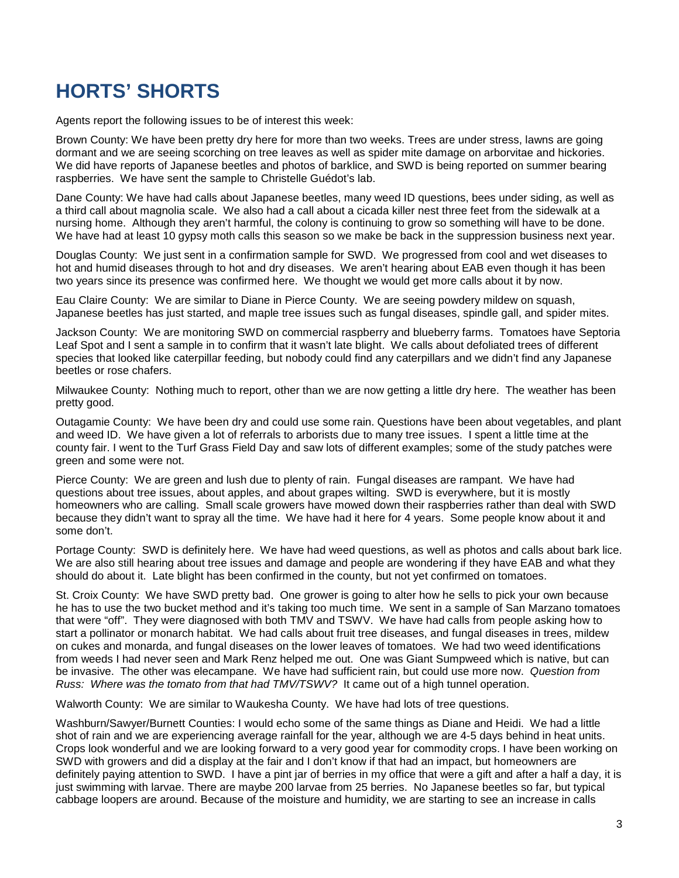## **HORTS' SHORTS**

Agents report the following issues to be of interest this week:

Brown County: We have been pretty dry here for more than two weeks. Trees are under stress, lawns are going dormant and we are seeing scorching on tree leaves as well as spider mite damage on arborvitae and hickories. We did have reports of Japanese beetles and photos of barklice, and SWD is being reported on summer bearing raspberries. We have sent the sample to Christelle Guédot's lab.

Dane County: We have had calls about Japanese beetles, many weed ID questions, bees under siding, as well as a third call about magnolia scale. We also had a call about a cicada killer nest three feet from the sidewalk at a nursing home. Although they aren't harmful, the colony is continuing to grow so something will have to be done. We have had at least 10 gypsy moth calls this season so we make be back in the suppression business next year.

Douglas County: We just sent in a confirmation sample for SWD. We progressed from cool and wet diseases to hot and humid diseases through to hot and dry diseases. We aren't hearing about EAB even though it has been two years since its presence was confirmed here. We thought we would get more calls about it by now.

Eau Claire County: We are similar to Diane in Pierce County. We are seeing powdery mildew on squash, Japanese beetles has just started, and maple tree issues such as fungal diseases, spindle gall, and spider mites.

Jackson County: We are monitoring SWD on commercial raspberry and blueberry farms. Tomatoes have Septoria Leaf Spot and I sent a sample in to confirm that it wasn't late blight. We calls about defoliated trees of different species that looked like caterpillar feeding, but nobody could find any caterpillars and we didn't find any Japanese beetles or rose chafers.

Milwaukee County: Nothing much to report, other than we are now getting a little dry here. The weather has been pretty good.

Outagamie County: We have been dry and could use some rain. Questions have been about vegetables, and plant and weed ID. We have given a lot of referrals to arborists due to many tree issues. I spent a little time at the county fair. I went to the Turf Grass Field Day and saw lots of different examples; some of the study patches were green and some were not.

Pierce County: We are green and lush due to plenty of rain. Fungal diseases are rampant. We have had questions about tree issues, about apples, and about grapes wilting. SWD is everywhere, but it is mostly homeowners who are calling. Small scale growers have mowed down their raspberries rather than deal with SWD because they didn't want to spray all the time. We have had it here for 4 years. Some people know about it and some don't.

Portage County: SWD is definitely here. We have had weed questions, as well as photos and calls about bark lice. We are also still hearing about tree issues and damage and people are wondering if they have EAB and what they should do about it. Late blight has been confirmed in the county, but not yet confirmed on tomatoes.

St. Croix County: We have SWD pretty bad. One grower is going to alter how he sells to pick your own because he has to use the two bucket method and it's taking too much time. We sent in a sample of San Marzano tomatoes that were "off". They were diagnosed with both TMV and TSWV. We have had calls from people asking how to start a pollinator or monarch habitat. We had calls about fruit tree diseases, and fungal diseases in trees, mildew on cukes and monarda, and fungal diseases on the lower leaves of tomatoes. We had two weed identifications from weeds I had never seen and Mark Renz helped me out. One was Giant Sumpweed which is native, but can be invasive. The other was elecampane. We have had sufficient rain, but could use more now. *Question from Russ: Where was the tomato from that had TMV/TSWV?* It came out of a high tunnel operation.

Walworth County: We are similar to Waukesha County. We have had lots of tree questions.

Washburn/Sawyer/Burnett Counties: I would echo some of the same things as Diane and Heidi. We had a little shot of rain and we are experiencing average rainfall for the year, although we are 4-5 days behind in heat units. Crops look wonderful and we are looking forward to a very good year for commodity crops. I have been working on SWD with growers and did a display at the fair and I don't know if that had an impact, but homeowners are definitely paying attention to SWD. I have a pint jar of berries in my office that were a gift and after a half a day, it is just swimming with larvae. There are maybe 200 larvae from 25 berries. No Japanese beetles so far, but typical cabbage loopers are around. Because of the moisture and humidity, we are starting to see an increase in calls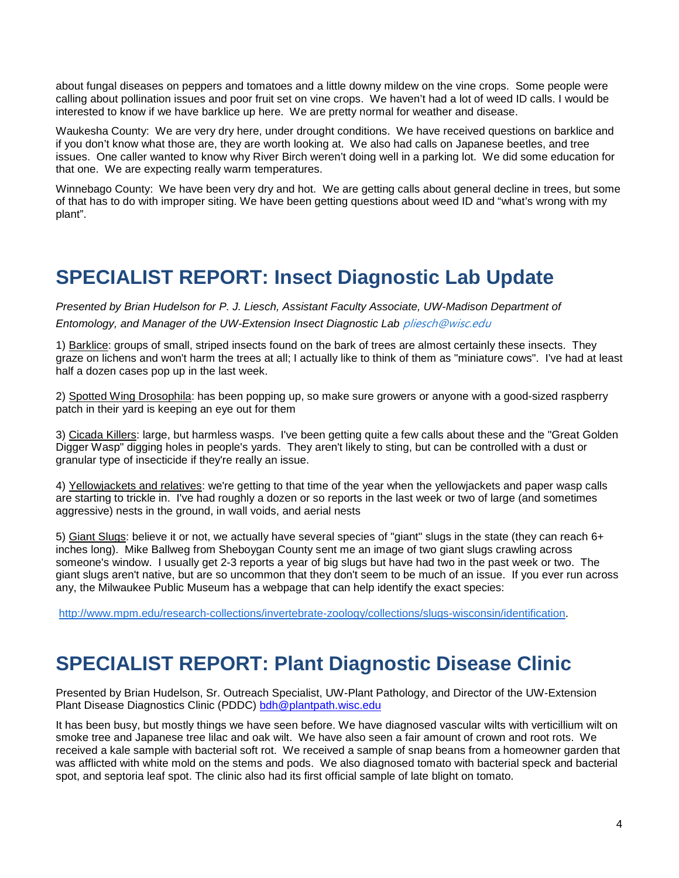about fungal diseases on peppers and tomatoes and a little downy mildew on the vine crops. Some people were calling about pollination issues and poor fruit set on vine crops. We haven't had a lot of weed ID calls. I would be interested to know if we have barklice up here. We are pretty normal for weather and disease.

Waukesha County: We are very dry here, under drought conditions. We have received questions on barklice and if you don't know what those are, they are worth looking at. We also had calls on Japanese beetles, and tree issues. One caller wanted to know why River Birch weren't doing well in a parking lot. We did some education for that one. We are expecting really warm temperatures.

Winnebago County: We have been very dry and hot. We are getting calls about general decline in trees, but some of that has to do with improper siting. We have been getting questions about weed ID and "what's wrong with my plant".

## **SPECIALIST REPORT: Insect Diagnostic Lab Update**

*Presented by Brian Hudelson for P. J. Liesch, Assistant Faculty Associate, UW-Madison Department of Entomology, and Manager of the UW-Extension Insect Diagnostic Lab* [pliesch@wisc.edu](mailto:pliesch@wisc.edu)

1) Barklice: groups of small, striped insects found on the bark of trees are almost certainly these insects. They graze on lichens and won't harm the trees at all; I actually like to think of them as "miniature cows". I've had at least half a dozen cases pop up in the last week.

2) Spotted Wing Drosophila: has been popping up, so make sure growers or anyone with a good-sized raspberry patch in their yard is keeping an eye out for them

3) Cicada Killers: large, but harmless wasps. I've been getting quite a few calls about these and the "Great Golden Digger Wasp" digging holes in people's yards. They aren't likely to sting, but can be controlled with a dust or granular type of insecticide if they're really an issue.

4) Yellowjackets and relatives: we're getting to that time of the year when the yellowjackets and paper wasp calls are starting to trickle in. I've had roughly a dozen or so reports in the last week or two of large (and sometimes aggressive) nests in the ground, in wall voids, and aerial nests

5) Giant Slugs: believe it or not, we actually have several species of "giant" slugs in the state (they can reach 6+ inches long). Mike Ballweg from Sheboygan County sent me an image of two giant slugs crawling across someone's window. I usually get 2-3 reports a year of big slugs but have had two in the past week or two. The giant slugs aren't native, but are so uncommon that they don't seem to be much of an issue. If you ever run across any, the Milwaukee Public Museum has a webpage that can help identify the exact species:

[http://www.mpm.edu/research-collections/invertebrate-zoology/collections/slugs-wisconsin/identification.](http://www.mpm.edu/research-collections/invertebrate-zoology/collections/slugs-wisconsin/identification)

## **SPECIALIST REPORT: Plant Diagnostic Disease Clinic**

Presented by Brian Hudelson, Sr. Outreach Specialist, UW-Plant Pathology, and Director of the UW-Extension Plant Disease Diagnostics Clinic (PDDC) [bdh@plantpath.wisc.edu](mailto:bdh@plantpath.wisc.edu)

It has been busy, but mostly things we have seen before. We have diagnosed vascular wilts with verticillium wilt on smoke tree and Japanese tree lilac and oak wilt. We have also seen a fair amount of crown and root rots. We received a kale sample with bacterial soft rot. We received a sample of snap beans from a homeowner garden that was afflicted with white mold on the stems and pods. We also diagnosed tomato with bacterial speck and bacterial spot, and septoria leaf spot. The clinic also had its first official sample of late blight on tomato.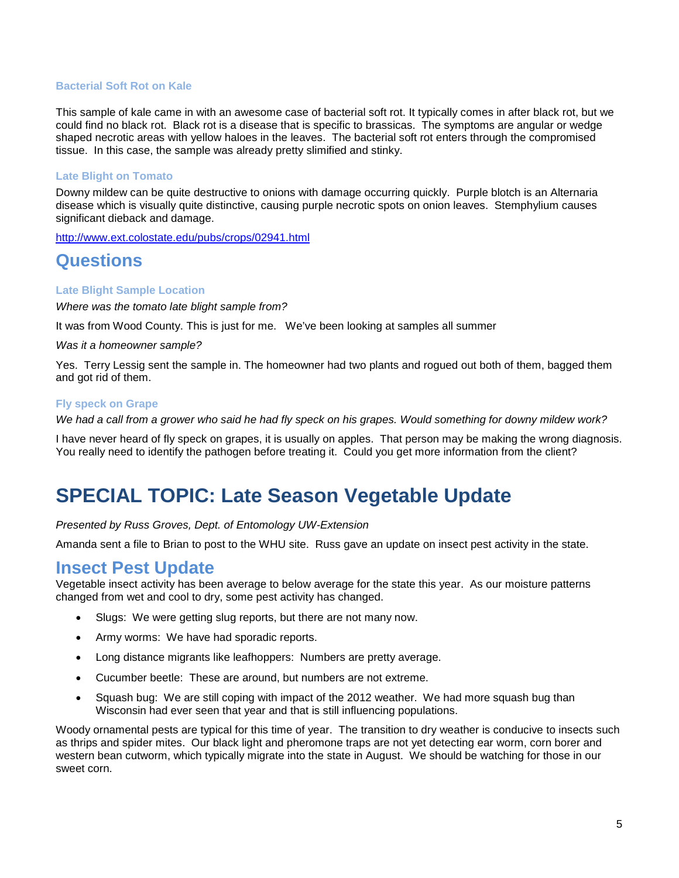#### **Bacterial Soft Rot on Kale**

This sample of kale came in with an awesome case of bacterial soft rot. It typically comes in after black rot, but we could find no black rot. Black rot is a disease that is specific to brassicas. The symptoms are angular or wedge shaped necrotic areas with yellow haloes in the leaves. The bacterial soft rot enters through the compromised tissue. In this case, the sample was already pretty slimified and stinky.

#### **Late Blight on Tomato**

Downy mildew can be quite destructive to onions with damage occurring quickly. Purple blotch is an Alternaria disease which is visually quite distinctive, causing purple necrotic spots on onion leaves. Stemphylium causes significant dieback and damage.

<http://www.ext.colostate.edu/pubs/crops/02941.html>

### **Questions**

#### **Late Blight Sample Location**

*Where was the tomato late blight sample from?*

It was from Wood County. This is just for me. We've been looking at samples all summer

*Was it a homeowner sample?*

Yes. Terry Lessig sent the sample in. The homeowner had two plants and rogued out both of them, bagged them and got rid of them.

#### **Fly speck on Grape**

*We had a call from a grower who said he had fly speck on his grapes. Would something for downy mildew work?*

I have never heard of fly speck on grapes, it is usually on apples. That person may be making the wrong diagnosis. You really need to identify the pathogen before treating it. Could you get more information from the client?

## **SPECIAL TOPIC: Late Season Vegetable Update**

*Presented by Russ Groves, Dept. of Entomology UW-Extension*

Amanda sent a file to Brian to post to the WHU site. Russ gave an update on insect pest activity in the state.

### **Insect Pest Update**

Vegetable insect activity has been average to below average for the state this year. As our moisture patterns changed from wet and cool to dry, some pest activity has changed.

- Slugs: We were getting slug reports, but there are not many now.
- Army worms: We have had sporadic reports.
- Long distance migrants like leafhoppers: Numbers are pretty average.
- Cucumber beetle: These are around, but numbers are not extreme.
- Squash bug: We are still coping with impact of the 2012 weather. We had more squash bug than Wisconsin had ever seen that year and that is still influencing populations.

Woody ornamental pests are typical for this time of year. The transition to dry weather is conducive to insects such as thrips and spider mites. Our black light and pheromone traps are not yet detecting ear worm, corn borer and western bean cutworm, which typically migrate into the state in August. We should be watching for those in our sweet corn.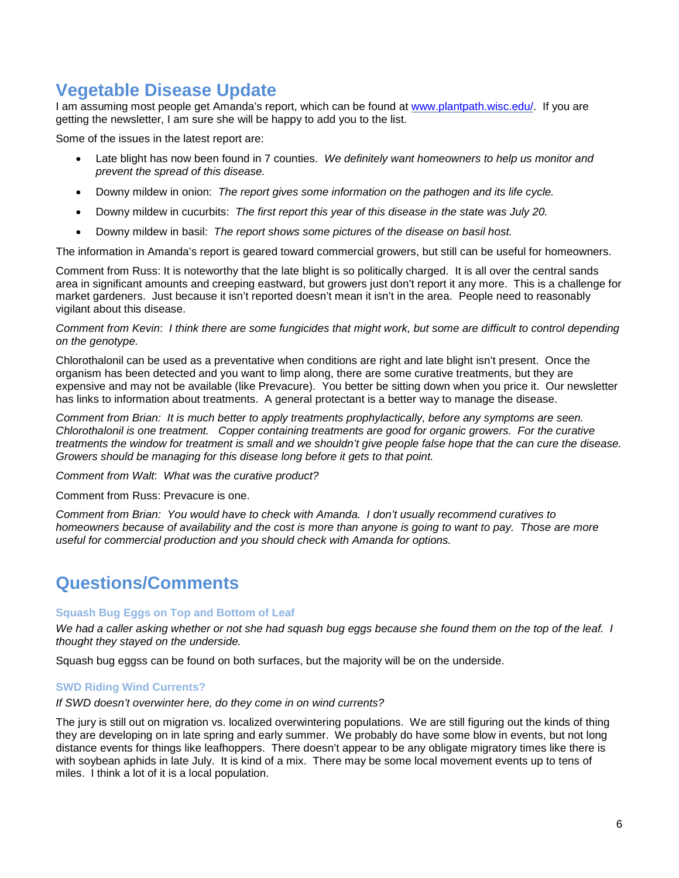### **Vegetable Disease Update**

I am assuming most people get Amanda's report, which can be found at [www.plantpath.wisc.edu/.](http://www.plantpath.wisc.edu/) If you are getting the newsletter, I am sure she will be happy to add you to the list.

Some of the issues in the latest report are:

- Late blight has now been found in 7 counties. *We definitely want homeowners to help us monitor and prevent the spread of this disease.*
- Downy mildew in onion: *The report gives some information on the pathogen and its life cycle.*
- Downy mildew in cucurbits: *The first report this year of this disease in the state was July 20.*
- Downy mildew in basil: *The report shows some pictures of the disease on basil host.*

The information in Amanda's report is geared toward commercial growers, but still can be useful for homeowners.

Comment from Russ: It is noteworthy that the late blight is so politically charged. It is all over the central sands area in significant amounts and creeping eastward, but growers just don't report it any more. This is a challenge for market gardeners. Just because it isn't reported doesn't mean it isn't in the area. People need to reasonably vigilant about this disease.

#### *Comment from Kevin*: *I think there are some fungicides that might work, but some are difficult to control depending on the genotype.*

Chlorothalonil can be used as a preventative when conditions are right and late blight isn't present. Once the organism has been detected and you want to limp along, there are some curative treatments, but they are expensive and may not be available (like Prevacure). You better be sitting down when you price it. Our newsletter has links to information about treatments. A general protectant is a better way to manage the disease.

*Comment from Brian: It is much better to apply treatments prophylactically, before any symptoms are seen. Chlorothalonil is one treatment. Copper containing treatments are good for organic growers. For the curative treatments the window for treatment is small and we shouldn't give people false hope that the can cure the disease. Growers should be managing for this disease long before it gets to that point.* 

*Comment from Walt*: *What was the curative product?*

Comment from Russ: Prevacure is one.

*Comment from Brian: You would have to check with Amanda. I don't usually recommend curatives to homeowners because of availability and the cost is more than anyone is going to want to pay. Those are more useful for commercial production and you should check with Amanda for options.*

### **Questions/Comments**

#### **Squash Bug Eggs on Top and Bottom of Leaf**

*We had a caller asking whether or not she had squash bug eggs because she found them on the top of the leaf. I thought they stayed on the underside.*

Squash bug eggss can be found on both surfaces, but the majority will be on the underside.

#### **SWD Riding Wind Currents?**

#### *If SWD doesn't overwinter here, do they come in on wind currents?*

The jury is still out on migration vs. localized overwintering populations. We are still figuring out the kinds of thing they are developing on in late spring and early summer. We probably do have some blow in events, but not long distance events for things like leafhoppers. There doesn't appear to be any obligate migratory times like there is with soybean aphids in late July. It is kind of a mix. There may be some local movement events up to tens of miles. I think a lot of it is a local population.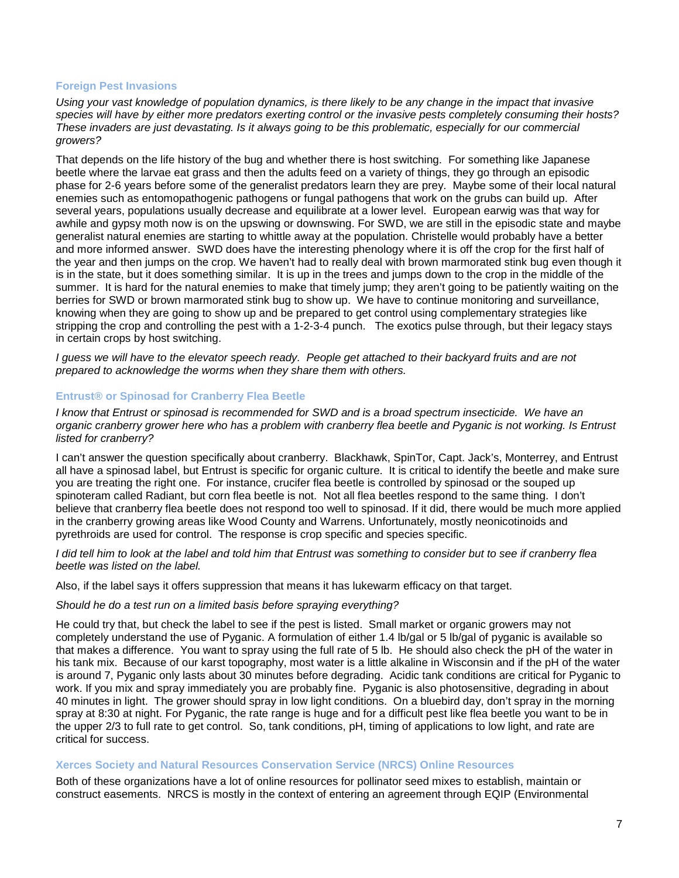#### **Foreign Pest Invasions**

*Using your vast knowledge of population dynamics, is there likely to be any change in the impact that invasive species will have by either more predators exerting control or the invasive pests completely consuming their hosts? These invaders are just devastating. Is it always going to be this problematic, especially for our commercial growers?*

That depends on the life history of the bug and whether there is host switching. For something like Japanese beetle where the larvae eat grass and then the adults feed on a variety of things, they go through an episodic phase for 2-6 years before some of the generalist predators learn they are prey. Maybe some of their local natural enemies such as entomopathogenic pathogens or fungal pathogens that work on the grubs can build up. After several years, populations usually decrease and equilibrate at a lower level. European earwig was that way for awhile and gypsy moth now is on the upswing or downswing. For SWD, we are still in the episodic state and maybe generalist natural enemies are starting to whittle away at the population. Christelle would probably have a better and more informed answer. SWD does have the interesting phenology where it is off the crop for the first half of the year and then jumps on the crop. We haven't had to really deal with brown marmorated stink bug even though it is in the state, but it does something similar. It is up in the trees and jumps down to the crop in the middle of the summer. It is hard for the natural enemies to make that timely jump; they aren't going to be patiently waiting on the berries for SWD or brown marmorated stink bug to show up. We have to continue monitoring and surveillance, knowing when they are going to show up and be prepared to get control using complementary strategies like stripping the crop and controlling the pest with a 1-2-3-4 punch. The exotics pulse through, but their legacy stays in certain crops by host switching.

*I guess we will have to the elevator speech ready. People get attached to their backyard fruits and are not prepared to acknowledge the worms when they share them with others.*

#### **Entrust® or Spinosad for Cranberry Flea Beetle**

*I know that Entrust or spinosad is recommended for SWD and is a broad spectrum insecticide. We have an organic cranberry grower here who has a problem with cranberry flea beetle and Pyganic is not working. Is Entrust listed for cranberry?* 

I can't answer the question specifically about cranberry. Blackhawk, SpinTor, Capt. Jack's, Monterrey, and Entrust all have a spinosad label, but Entrust is specific for organic culture. It is critical to identify the beetle and make sure you are treating the right one. For instance, crucifer flea beetle is controlled by spinosad or the souped up spinoteram called Radiant, but corn flea beetle is not. Not all flea beetles respond to the same thing. I don't believe that cranberry flea beetle does not respond too well to spinosad. If it did, there would be much more applied in the cranberry growing areas like Wood County and Warrens. Unfortunately, mostly neonicotinoids and pyrethroids are used for control. The response is crop specific and species specific.

*I did tell him to look at the label and told him that Entrust was something to consider but to see if cranberry flea beetle was listed on the label.*

Also, if the label says it offers suppression that means it has lukewarm efficacy on that target.

#### *Should he do a test run on a limited basis before spraying everything?*

He could try that, but check the label to see if the pest is listed. Small market or organic growers may not completely understand the use of Pyganic. A formulation of either 1.4 lb/gal or 5 lb/gal of pyganic is available so that makes a difference. You want to spray using the full rate of 5 lb. He should also check the pH of the water in his tank mix. Because of our karst topography, most water is a little alkaline in Wisconsin and if the pH of the water is around 7, Pyganic only lasts about 30 minutes before degrading. Acidic tank conditions are critical for Pyganic to work. If you mix and spray immediately you are probably fine. Pyganic is also photosensitive, degrading in about 40 minutes in light. The grower should spray in low light conditions. On a bluebird day, don't spray in the morning spray at 8:30 at night. For Pyganic, the rate range is huge and for a difficult pest like flea beetle you want to be in the upper 2/3 to full rate to get control. So, tank conditions, pH, timing of applications to low light, and rate are critical for success.

#### **Xerces Society and Natural Resources Conservation Service (NRCS) Online Resources**

Both of these organizations have a lot of online resources for pollinator seed mixes to establish, maintain or construct easements. NRCS is mostly in the context of entering an agreement through EQIP (Environmental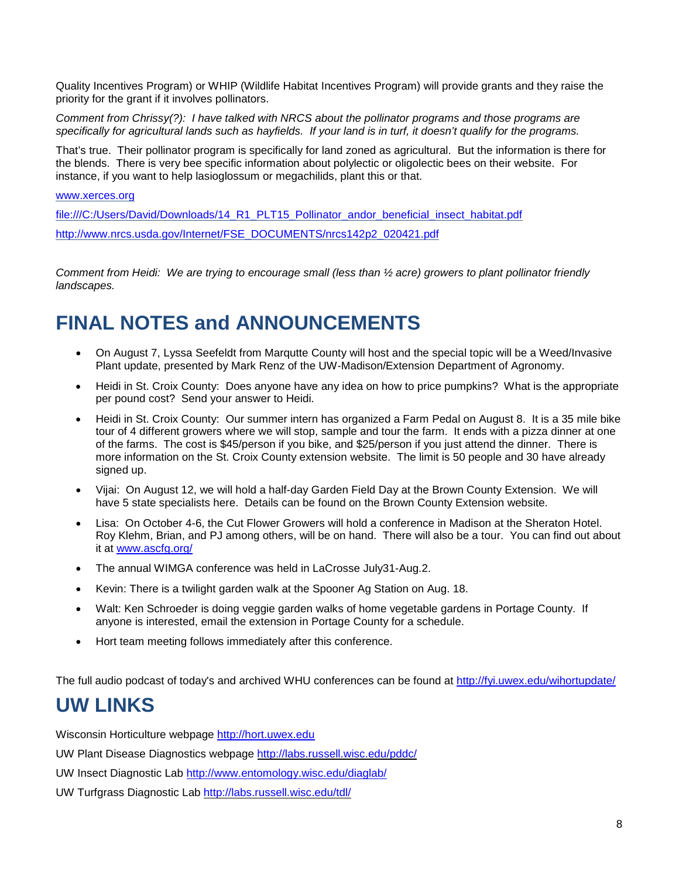Quality Incentives Program) or WHIP (Wildlife Habitat Incentives Program) will provide grants and they raise the priority for the grant if it involves pollinators.

*Comment from Chrissy(?): I have talked with NRCS about the pollinator programs and those programs are specifically for agricultural lands such as hayfields. If your land is in turf, it doesn't qualify for the programs.*

That's true. Their pollinator program is specifically for land zoned as agricultural. But the information is there for the blends. There is very bee specific information about polylectic or oligolectic bees on their website. For instance, if you want to help lasioglossum or megachilids, plant this or that.

[www.xerces.org](http://www.xerces.org/)

file:///C:/Users/David/Downloads/14\_R1\_PLT15\_Pollinator\_andor\_beneficial\_insect\_habitat.pdf

[http://www.nrcs.usda.gov/Internet/FSE\\_DOCUMENTS/nrcs142p2\\_020421.pdf](http://www.nrcs.usda.gov/Internet/FSE_DOCUMENTS/nrcs142p2_020421.pdf)

*Comment from Heidi: We are trying to encourage small (less than ½ acre) growers to plant pollinator friendly landscapes.*

## **FINAL NOTES and ANNOUNCEMENTS**

- On August 7, Lyssa Seefeldt from Marqutte County will host and the special topic will be a Weed/Invasive Plant update, presented by Mark Renz of the UW-Madison/Extension Department of Agronomy.
- Heidi in St. Croix County: Does anyone have any idea on how to price pumpkins? What is the appropriate per pound cost? Send your answer to Heidi.
- Heidi in St. Croix County: Our summer intern has organized a Farm Pedal on August 8. It is a 35 mile bike tour of 4 different growers where we will stop, sample and tour the farm. It ends with a pizza dinner at one of the farms. The cost is \$45/person if you bike, and \$25/person if you just attend the dinner. There is more information on the St. Croix County extension website. The limit is 50 people and 30 have already signed up.
- Vijai: On August 12, we will hold a half-day Garden Field Day at the Brown County Extension. We will have 5 state specialists here. Details can be found on the Brown County Extension website.
- Lisa: On October 4-6, the Cut Flower Growers will hold a conference in Madison at the Sheraton Hotel. Roy Klehm, Brian, and PJ among others, will be on hand. There will also be a tour. You can find out about it at [www.ascfg.org/](http://www.ascfg.org/)
- The annual WIMGA conference was held in LaCrosse July31-Aug.2.
- Kevin: There is a twilight garden walk at the Spooner Ag Station on Aug. 18.
- Walt: Ken Schroeder is doing veggie garden walks of home vegetable gardens in Portage County. If anyone is interested, email the extension in Portage County for a schedule.
- Hort team meeting follows immediately after this conference.

The full audio podcast of today's and archived WHU conferences can be found at<http://fyi.uwex.edu/wihortupdate/>

## **UW LINKS**

Wisconsin Horticulture webpage [http://hort.uwex.edu](http://hort.uwex.edu/)

UW Plant Disease Diagnostics webpage<http://labs.russell.wisc.edu/pddc/>

UW Insect Diagnostic Lab<http://www.entomology.wisc.edu/diaglab/>

UW Turfgrass Diagnostic Lab<http://labs.russell.wisc.edu/tdl/>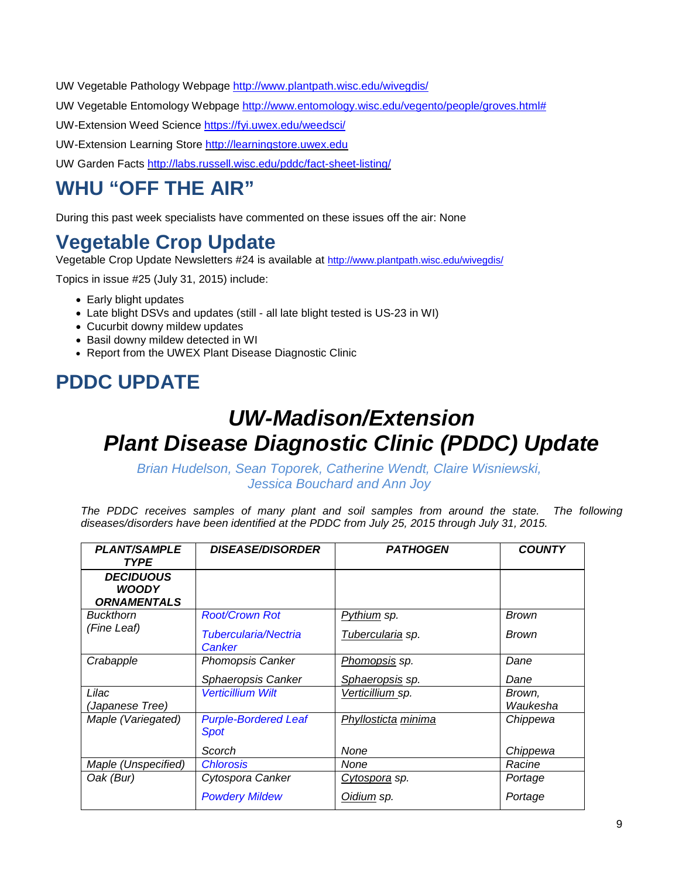UW Vegetable Pathology Webpage<http://www.plantpath.wisc.edu/wivegdis/>

UW Vegetable Entomology Webpage [http://www.entomology.wisc.edu/vegento/people/groves.html#](http://www.entomology.wisc.edu/vegento/people/groves.html%23)

UW-Extension Weed Science https://fyi.uwex.edu/weedsci/

UW-Extension Learning Store [http://learningstore.uwex.edu](http://learningstore.uwex.edu/)

UW Garden Facts<http://labs.russell.wisc.edu/pddc/fact-sheet-listing/>

## **WHU "OFF THE AIR"**

During this past week specialists have commented on these issues off the air: None

## **Vegetable Crop Update**

Vegetable Crop Update Newsletters #24 is available at<http://www.plantpath.wisc.edu/wivegdis/>

Topics in issue #25 (July 31, 2015) include:

- Early blight updates
- Late blight DSVs and updates (still all late blight tested is US-23 in WI)
- Cucurbit downy mildew updates
- Basil downy mildew detected in WI
- Report from the UWEX Plant Disease Diagnostic Clinic

## **PDDC UPDATE**

## *UW-Madison/Extension Plant Disease Diagnostic Clinic (PDDC) Update*

*Brian Hudelson, Sean Toporek, Catherine Wendt, Claire Wisniewski, Jessica Bouchard and Ann Joy*

The PDDC receives samples of many plant and soil samples from around the state. The following *diseases/disorders have been identified at the PDDC from July 25, 2015 through July 31, 2015.*

| <b>PLANT/SAMPLE</b><br><b>TYPE</b>                     | <b>DISEASE/DISORDER</b>                    | <b>PATHOGEN</b>      | <b>COUNTY</b>      |
|--------------------------------------------------------|--------------------------------------------|----------------------|--------------------|
| <b>DECIDUOUS</b><br><b>WOODY</b><br><b>ORNAMENTALS</b> |                                            |                      |                    |
| <b>Buckthorn</b>                                       | <b>Root/Crown Rot</b>                      | Pythium sp.          | <b>Brown</b>       |
| (Fine Leaf)                                            | Tubercularia/Nectria<br>Canker             | Tubercularia sp.     | <b>Brown</b>       |
| Crabapple                                              | <b>Phomopsis Canker</b>                    | Phomopsis sp.        | Dane               |
|                                                        | Sphaeropsis Canker                         | Sphaeropsis sp.      | Dane               |
| Lilac<br>(Japanese Tree)                               | <b>Verticillium Wilt</b>                   | Verticillium sp.     | Brown,<br>Waukesha |
| Maple (Variegated)                                     | <b>Purple-Bordered Leaf</b><br><b>Spot</b> | Phyllosticta minima  | Chippewa           |
|                                                        | Scorch                                     | None                 | Chippewa           |
| Maple (Unspecified)                                    | <b>Chlorosis</b>                           | None                 | Racine             |
| Oak (Bur)                                              | Cytospora Canker                           | <u>Cytospora</u> sp. | Portage            |
|                                                        | <b>Powdery Mildew</b>                      | <u>Oidium</u> sp.    | Portage            |